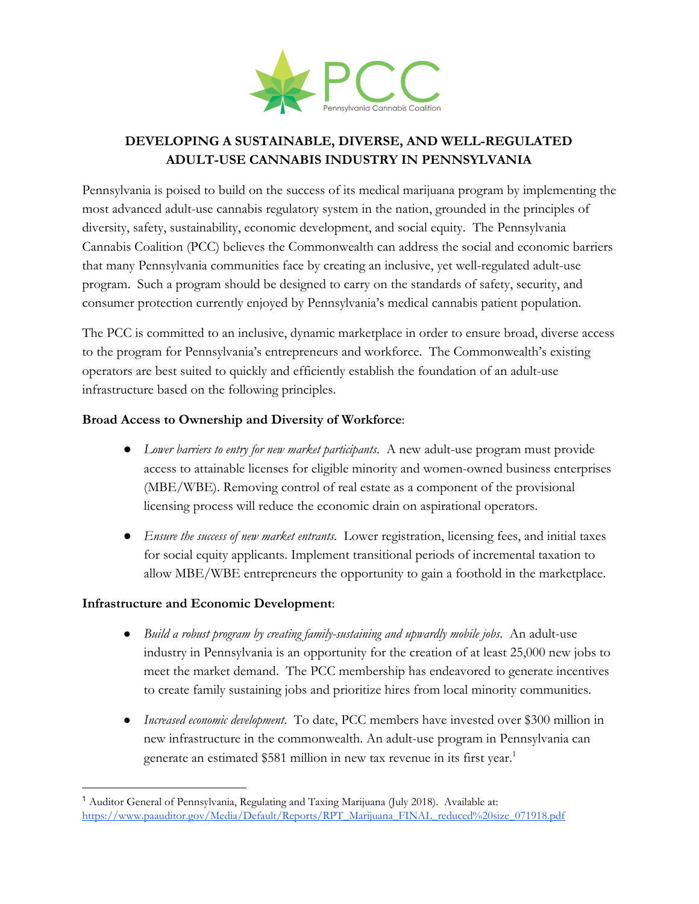

# **DEVELOPING A SUSTAINABLE, DIVERSE, AND WELL-REGULATED ADULT-USE CANNABIS INDUSTRY IN PENNSYLVANIA**

Pennsylvania is poised to build on the success of its medical marijuana program by implementing the most advanced adult-use cannabis regulatory system in the nation, grounded in the principles of diversity, safety, sustainability, economic development, and social equity. The Pennsylvania Cannabis Coalition (PCC) believes the Commonwealth can address the social and economic barriers that many Pennsylvania communities face by creating an inclusive, yet well-regulated adult-use program. Such a program should be designed to carry on the standards of safety, security, and consumer protection currently enjoyed by Pennsylvania's medical cannabis patient population.

The PCC is committed to an inclusive, dynamic marketplace in order to ensure broad, diverse access to the program for Pennsylvania's entrepreneurs and workforce. The Commonwealth's existing operators are best suited to quickly and efficiently establish the foundation of an adult-use infrastructure based on the following principles.

### **Broad Access to Ownership and Diversity of Workforce**:

- *Lower barriers to entry for new market participants*. A new adult-use program must provide access to attainable licenses for eligible minority and women-owned business enterprises (MBE/WBE). Removing control of real estate as a component of the provisional licensing process will reduce the economic drain on aspirational operators.
- *Ensure the success of new market entrants*. Lower registration, licensing fees, and initial taxes for social equity applicants. Implement transitional periods of incremental taxation to allow MBE/WBE entrepreneurs the opportunity to gain a foothold in the marketplace.

## **Infrastructure and Economic Development**:

- *Build a robust program by creating family-sustaining and upwardly mobile jobs*. An adult-use industry in Pennsylvania is an opportunity for the creation of at least 25,000 new jobs to meet the market demand. The PCC membership has endeavored to generate incentives to create family sustaining jobs and prioritize hires from local minority communities.
- *Increased economic development*. To date, PCC members have invested over \$300 million in new infrastructure in the commonwealth. An adult-use program in Pennsylvania can generate an estimated \$581 million in new tax revenue in its first year.<sup>1</sup>

<sup>&</sup>lt;sup>1</sup> Auditor General of Pennsylvania, Regulating and Taxing Marijuana (July 2018). Available at: [https://www.paauditor.gov/Media/Default/Reports/RPT\\_Marijuana\\_FINAL\\_reduced%20size\\_071918.pdf](https://www.paauditor.gov/Media/Default/Reports/RPT_Marijuana_FINAL_reduced%20size_071918.pdf)